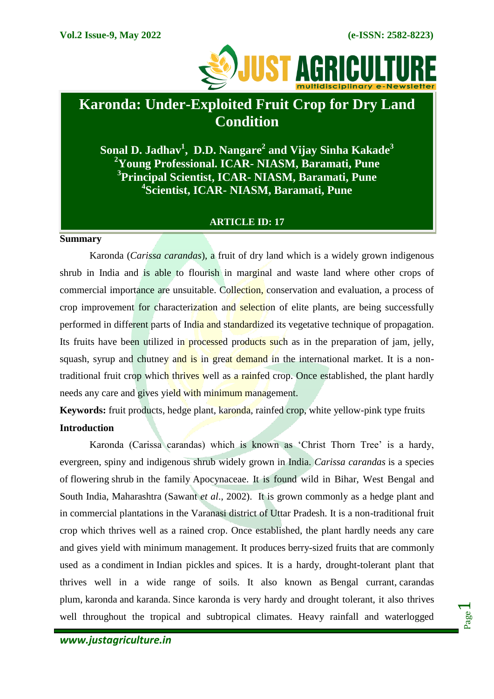

# **Karonda: Under-Exploited Fruit Crop for Dry Land Condition**

**Sonal D. Jadhav<sup>1</sup> , D.D. Nangare<sup>2</sup> and Vijay Sinha Kakade<sup>3</sup> Young Professional. ICAR- NIASM, Baramati, Pune Principal Scientist, ICAR- NIASM, Baramati, Pune Scientist, ICAR- NIASM, Baramati, Pune**

## **ARTICLE ID: 17**

#### **Summary**

Karonda (*Carissa carandas*), a fruit of dry land which is a widely grown indigenous shrub in India and is able to flourish in marginal and waste land where other crops of commercial importance are unsuitable. Collection, conservation and evaluation, a process of crop improvement for characterization and selection of elite plants, are being successfully performed in different parts of India and standardized its vegetative technique of propagation. Its fruits have been utilized in processed products such as in the preparation of jam, jelly, squash, syrup and chutney and is in great demand in the international market. It is a nontraditional fruit crop which thrives well as a rainfed crop. Once established, the plant hardly needs any care and gives yield with minimum management.

**Keywords:** fruit products, hedge plant, karonda, rainfed crop, white yellow-pink type fruits **Introduction**

Karonda (Carissa carandas) which is known as 'Christ Thorn Tree' is a hardy, evergreen, spiny and indigenous shrub widely grown in India. *Carissa carandas* is a species of [flowering](https://en.wikipedia.org/wiki/Flowering_plant) [shrub](https://en.wikipedia.org/wiki/Shrub) in the family [Apocynaceae.](https://en.wikipedia.org/wiki/Apocynaceae) It is found wild in Bihar, West Bengal and South India, Maharashtra (Sawant *et al*., 2002). It is grown commonly as a hedge plant and in commercial plantations in the Varanasi district of Uttar Pradesh. It is a non-traditional fruit crop which thrives well as a rained crop. Once established, the plant hardly needs any care and gives yield with minimum management. It produces [berry-](https://en.wikipedia.org/wiki/Berry_(botany))sized fruits that are commonly used as a [condiment](https://en.wikipedia.org/wiki/Condiment) in [Indian pickles](https://en.wikipedia.org/wiki/Indian_pickle) and spices. It is a hardy, drought-tolerant plant that thrives well in a wide range of soils. It also known as Bengal currant, carandas plum, karonda and karanda. Since karonda is very hardy and drought tolerant, it also thrives well throughout the tropical and subtropical climates. Heavy rainfall and waterlogged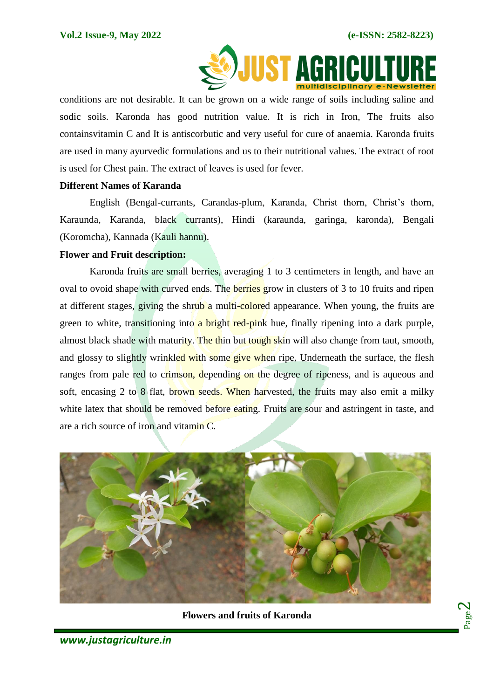

conditions are not desirable. It can be grown on a wide range of soils including saline and sodic soils. Karonda has good nutrition value. It is rich in Iron, The fruits also containsvitamin C and It is antiscorbutic and very useful for cure of anaemia. Karonda fruits are used in many ayurvedic formulations and us to their nutritional values. The extract of root is used for Chest pain. The extract of leaves is used for fever.

## **Different Names of Karanda**

English (Bengal-currants, Carandas-plum, Karanda, Christ thorn, Christ's thorn, Karaunda, Karanda, black currants), Hindi (karaunda, garinga, karonda), Bengali (Koromcha), Kannada (Kauli hannu).

## **Flower and Fruit description:**

Karonda fruits are small berries, averaging 1 to 3 centimeters in length, and have an oval to ovoid shape with curved ends. The berries grow in clusters of 3 to 10 fruits and ripen at different stages, giving the shrub a multi-colored appearance. When young, the fruits are green to white, transitioning into a bright red-pink hue, finally ripening into a dark purple, almost black shade with maturity. The thin but tough skin will also change from taut, smooth, and glossy to slightly wrinkled with some give when ripe. Underneath the surface, the flesh ranges from pale red to crimson, depending on the degree of ripeness, and is aqueous and soft, encasing 2 to 8 flat, brown seeds. When harvested, the fruits may also emit a milky white latex that should be removed before eating. Fruits are sour and astringent in taste, and are a rich source of iron and vitamin C.



**Flowers and fruits of Karonda**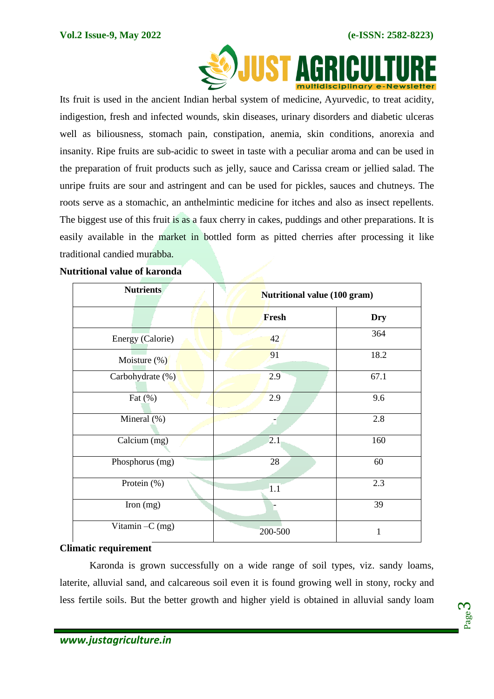

 Its fruit is used in the ancient Indian herbal system of medicine, [Ayurvedic,](https://en.wikipedia.org/wiki/Ayurvedic) to treat acidity, indigestion, fresh and infected wounds, skin diseases, urinary disorders and diabetic ulceras well as biliousness, stomach pain, constipation, anemia, skin conditions, anorexia and insanity. Ripe fruits are sub-acidic to sweet in taste with a peculiar aroma and can be used in the preparation of fruit products such as jelly, sauce and Carissa cream or jellied salad. The unripe fruits are sour and astringent and can be used for pickles, sauces and chutneys. The roots serve as a stomachic, an anthelmintic medicine for itches and also as insect repellents. The biggest use of this fruit is as a faux cherry in cakes, puddings and other preparations. It is easily available in the market in bottled form as pitted cherries after processing it like traditional candied murabba.

| Nutritional value of karonda |  |  |
|------------------------------|--|--|
|                              |  |  |

| <b>Nutrients</b>  | Nutritional value (100 gram) |            |
|-------------------|------------------------------|------------|
|                   | Fresh                        | <b>Dry</b> |
| Energy (Calorie)  | 42                           | 364        |
| Moisture $(\%)$   | 91                           | 18.2       |
| Carbohydrate (%)  | 2.9                          | 67.1       |
| Fat $(\%)$        | 2.9                          | 9.6        |
| Mineral (%)       |                              | 2.8        |
| Calcium (mg)      | 2.1                          | 160        |
| Phosphorus (mg)   | 28                           | 60         |
| Protein (%)       | 1.1                          | 2.3        |
| Iron $(mg)$       |                              | 39         |
| Vitamin $-C$ (mg) | 200-500                      | 1          |

## **Climatic requirement**

Karonda is grown successfully on a wide range of soil types, viz. sandy loams, laterite, alluvial sand, and calcareous soil even it is found growing well in stony, rocky and less fertile soils. But the better growth and higher yield is obtained in alluvial sandy loam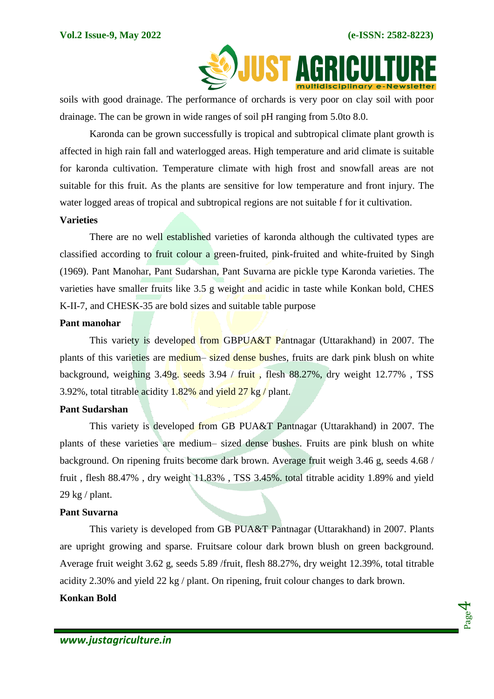

soils with good drainage. The performance of orchards is very poor on clay soil with poor drainage. The can be grown in wide ranges of soil pH ranging from 5.0to 8.0.

Karonda can be grown successfully is tropical and subtropical climate plant growth is affected in high rain fall and waterlogged areas. High temperature and arid climate is suitable for karonda cultivation. Temperature climate with high frost and snowfall areas are not suitable for this fruit. As the plants are sensitive for low temperature and front injury. The water logged areas of tropical and subtropical regions are not suitable f for it cultivation.

#### **Varieties**

There are no well established varieties of karonda although the cultivated types are classified according to fruit colour a green-fruited, pink-fruited and white-fruited by Singh (1969). Pant Manohar, Pant Sudarshan, Pant Suvarna are pickle type Karonda varieties. The varieties have smaller fruits like 3.5 g weight and acidic in taste while Konkan bold, CHES K-II-7, and CHESK-35 are bold sizes and suitable table purpose

#### **Pant manohar**

This variety is developed from GBPUA&T Pantnagar (Uttarakhand) in 2007. The plants of this varieties are medium– sized dense bushes, fruits are dark pink blush on white background, weighing 3.49g. seeds 3.94 / fruit , flesh 88.27%, dry weight 12.77% , TSS 3.92%, total titrable acidity 1.82% and yield 27 kg / plant.

## **Pant Sudarshan**

This variety is developed from GB PUA&T Pantnagar (Uttarakhand) in 2007. The plants of these varieties are medium– sized dense bushes. Fruits are pink blush on white background. On ripening fruits become dark brown. Average fruit weigh 3.46 g, seeds 4.68 / fruit , flesh 88.47% , dry weight 11.83% , TSS 3.45%. total titrable acidity 1.89% and yield 29 kg / plant.

#### **Pant Suvarna**

This variety is developed from GB PUA&T Pantnagar (Uttarakhand) in 2007. Plants are upright growing and sparse. Fruitsare colour dark brown blush on green background. Average fruit weight 3.62 g, seeds 5.89 /fruit, flesh 88.27%, dry weight 12.39%, total titrable acidity 2.30% and yield 22 kg / plant. On ripening, fruit colour changes to dark brown.

# **Konkan Bold**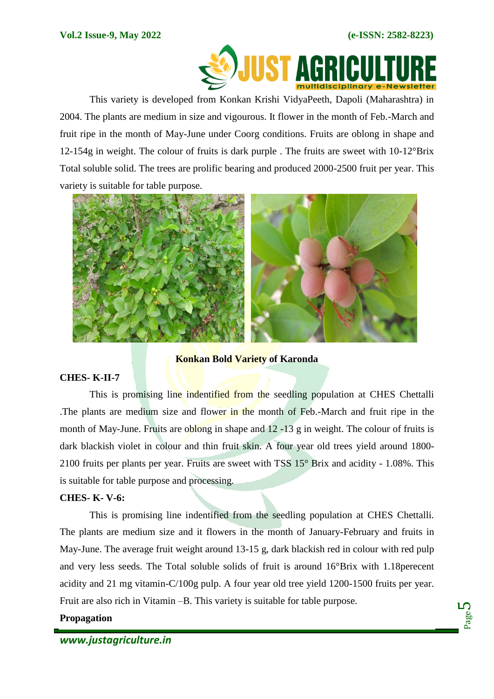

This variety is developed from Konkan Krishi VidyaPeeth, Dapoli (Maharashtra) in 2004. The plants are medium in size and vigourous. It flower in the month of Feb.-March and fruit ripe in the month of May-June under Coorg conditions. Fruits are oblong in shape and 12-154g in weight. The colour of fruits is dark purple. The fruits are sweet with  $10\text{-}12^{\circ}$ Brix Total soluble solid. The trees are prolific bearing and produced 2000-2500 fruit per year. This variety is suitable for table purpose.



**Konkan Bold Variety of Karonda**

# **CHES- K-II-7**

This is promising line indentified from the seedling population at CHES Chettalli The plants are medium size and flower in the month of Feb.-March and fruit ripe in the month of May-June. Fruits are oblong in shape and 12 -13 g in weight. The colour of fruits is dark blackish violet in colour and thin fruit skin. A four year old trees yield around 1800- 2100 fruits per plants per year. Fruits are sweet with TSS 15° Brix and acidity - 1.08%. This is suitable for table purpose and processing.

# **CHES- K- V-6:**

This is promising line indentified from the seedling population at CHES Chettalli. The plants are medium size and it flowers in the month of January-February and fruits in May-June. The average fruit weight around 13-15 g, dark blackish red in colour with red pulp and very less seeds. The Total soluble solids of fruit is around 16°Brix with 1.18perecent acidity and 21 mg vitamin-C/100g pulp. A four year old tree yield 1200-1500 fruits per year. Fruit are also rich in Vitamin –B. This variety is suitable for table purpose.

# **Propagation**

Page ம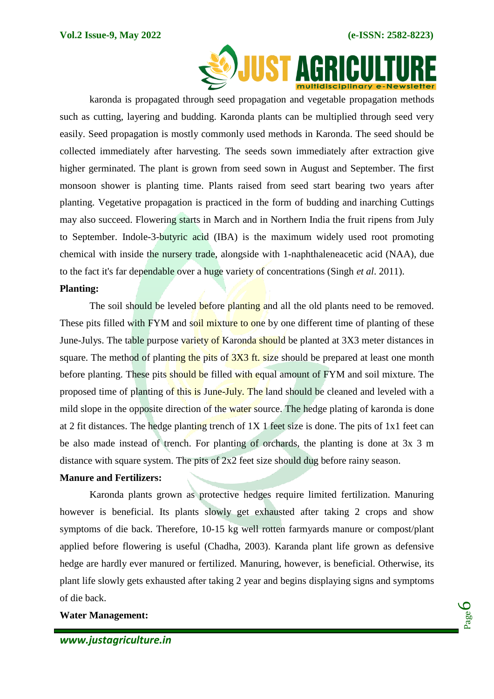

karonda is propagated through seed propagation and vegetable propagation methods such as cutting, layering and budding. Karonda plants can be multiplied through seed very easily. Seed propagation is mostly commonly used methods in Karonda. The seed should be collected immediately after harvesting. The seeds sown immediately after extraction give higher germinated. The plant is grown from seed sown in August and September. The first monsoon shower is planting time. Plants raised from seed start bearing two years after planting. Vegetative propagation is practiced in the form of budding and inarching Cuttings may also succeed. Flowering starts in March and in Northern India the fruit ripens from July to September. Indole-3-butyric acid (IBA) is the maximum widely used root promoting chemical with inside the nursery trade, alongside with 1-naphthaleneacetic acid (NAA), due to the fact it's far dependable over a huge variety of concentrations (Singh *et al*. 2011).

## **Planting:**

The soil should be leveled before planting and all the old plants need to be removed. These pits filled with FYM and soil mixture to one by one different time of planting of these June-Julys. The table purpose variety of Karonda should be planted at 3X3 meter distances in square. The method of planting the pits of  $3X3$  ft. size should be prepared at least one month before planting. These pits should be filled with equal amount of FYM and soil mixture. The proposed time of planting of this is June-July. The land should be cleaned and leveled with a mild slope in the opposite direction of the water source. The hedge plating of karonda is done at 2 fit distances. The hedge planting trench of 1X 1 feet size is done. The pits of 1x1 feet can be also made instead of trench. For planting of orchards, the planting is done at 3x 3 m distance with square system. The pits of 2x2 feet size should dug before rainy season.

## **Manure and Fertilizers:**

Karonda plants grown as protective hedges require limited fertilization. Manuring however is beneficial. Its plants slowly get exhausted after taking 2 crops and show symptoms of die back. Therefore, 10-15 kg well rotten farmyards manure or compost/plant applied before flowering is useful (Chadha, 2003). Karanda plant life grown as defensive hedge are hardly ever manured or fertilized. Manuring, however, is beneficial. Otherwise, its plant life slowly gets exhausted after taking 2 year and begins displaying signs and symptoms of die back.

## **Water Management:**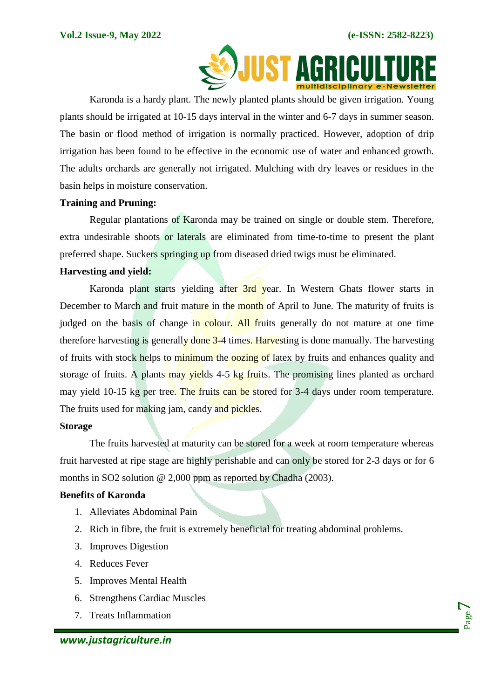

Karonda is a hardy plant. The newly planted plants should be given irrigation. Young plants should be irrigated at 10-15 days interval in the winter and 6-7 days in summer season. The basin or flood method of irrigation is normally practiced. However, adoption of drip irrigation has been found to be effective in the economic use of water and enhanced growth. The adults orchards are generally not irrigated. Mulching with dry leaves or residues in the basin helps in moisture conservation.

## **Training and Pruning:**

Regular plantations of Karonda may be trained on single or double stem. Therefore, extra undesirable shoots or laterals are eliminated from time-to-time to present the plant preferred shape. Suckers springing up from diseased dried twigs must be eliminated.

## **Harvesting and yield:**

Karonda plant starts yielding after 3rd year. In Western Ghats flower starts in December to March and fruit mature in the month of April to June. The maturity of fruits is judged on the basis of change in colour. All fruits generally do not mature at one time therefore harvesting is generally done 3-4 times. Harvesting is done manually. The harvesting of fruits with stock helps to minimum the oozing of latex by fruits and enhances quality and storage of fruits. A plants may yields 4-5 kg fruits. The promising lines planted as orchard may yield 10-15 kg per tree. The fruits can be stored for 3-4 days under room temperature. The fruits used for making jam, candy and pickles.

# **Storage**

The fruits harvested at maturity can be stored for a week at room temperature whereas fruit harvested at ripe stage are highly perishable and can only be stored for 2-3 days or for 6 months in SO2 solution @ 2,000 ppm as reported by Chadha (2003).

# **Benefits of Karonda**

- 1. Alleviates Abdominal Pain
- 2. Rich in fibre, the fruit is extremely beneficial for treating abdominal problems.
- 3. Improves Digestion
- 4. Reduces Fever
- 5. Improves Mental Health
- 6. Strengthens Cardiac Muscles
- 7. Treats Inflammation

Page  $\overline{\phantom{a}}$